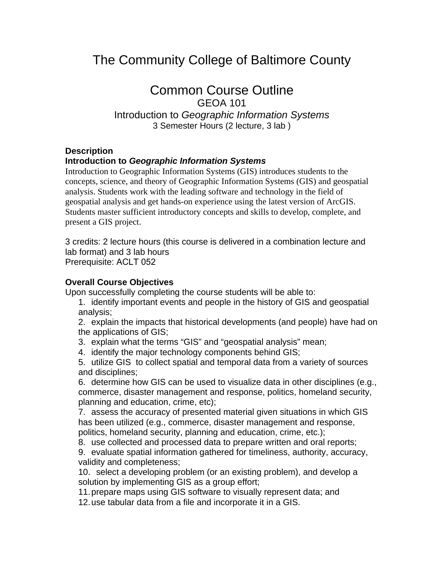# The Community College of Baltimore County

# Common Course Outline

GEOA 101 Introduction to *Geographic Information Systems* 3 Semester Hours (2 lecture, 3 lab )

#### **Description**

### **Introduction to** *Geographic Information Systems*

Introduction to Geographic Information Systems (GIS) introduces students to the concepts, science, and theory of Geographic Information Systems (GIS) and geospatial analysis. Students work with the leading software and technology in the field of geospatial analysis and get hands-on experience using the latest version of ArcGIS. Students master sufficient introductory concepts and skills to develop, complete, and present a GIS project.

3 credits: 2 lecture hours (this course is delivered in a combination lecture and lab format) and 3 lab hours Prerequisite: ACLT 052

#### **Overall Course Objectives**

Upon successfully completing the course students will be able to:

1. identify important events and people in the history of GIS and geospatial analysis;

2. explain the impacts that historical developments (and people) have had on the applications of GIS;

- 3. explain what the terms "GIS" and "geospatial analysis" mean;
- 4. identify the major technology components behind GIS;
- 5. utilize GIS to collect spatial and temporal data from a variety of sources and disciplines;

6. determine how GIS can be used to visualize data in other disciplines (e.g., commerce, disaster management and response, politics, homeland security, planning and education, crime, etc);

7. assess the accuracy of presented material given situations in which GIS has been utilized (e.g., commerce, disaster management and response, politics, homeland security, planning and education, crime, etc.);

8. use collected and processed data to prepare written and oral reports;

9. evaluate spatial information gathered for timeliness, authority, accuracy, validity and completeness;

10. select a developing problem (or an existing problem), and develop a solution by implementing GIS as a group effort;

11. prepare maps using GIS software to visually represent data; and

12. use tabular data from a file and incorporate it in a GIS.